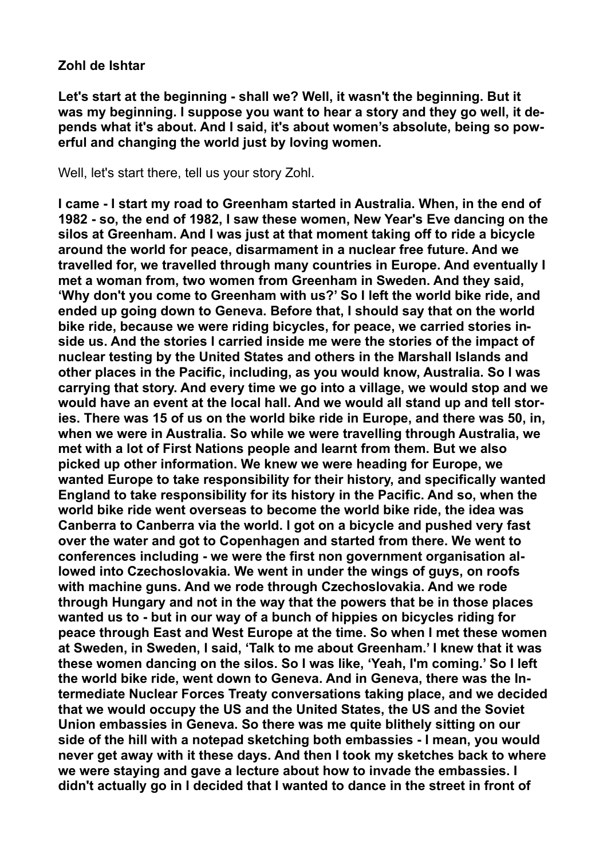## **Zohl de Ishtar**

**Let's start at the beginning - shall we? Well, it wasn't the beginning. But it was my beginning. I suppose you want to hear a story and they go well, it depends what it's about. And I said, it's about women's absolute, being so powerful and changing the world just by loving women.** 

Well, let's start there, tell us your story Zohl.

**I came - I start my road to Greenham started in Australia. When, in the end of 1982 - so, the end of 1982, I saw these women, New Year's Eve dancing on the silos at Greenham. And I was just at that moment taking off to ride a bicycle around the world for peace, disarmament in a nuclear free future. And we travelled for, we travelled through many countries in Europe. And eventually I met a woman from, two women from Greenham in Sweden. And they said, 'Why don't you come to Greenham with us?' So I left the world bike ride, and ended up going down to Geneva. Before that, I should say that on the world bike ride, because we were riding bicycles, for peace, we carried stories inside us. And the stories I carried inside me were the stories of the impact of nuclear testing by the United States and others in the Marshall Islands and other places in the Pacific, including, as you would know, Australia. So I was carrying that story. And every time we go into a village, we would stop and we would have an event at the local hall. And we would all stand up and tell stories. There was 15 of us on the world bike ride in Europe, and there was 50, in, when we were in Australia. So while we were travelling through Australia, we met with a lot of First Nations people and learnt from them. But we also picked up other information. We knew we were heading for Europe, we wanted Europe to take responsibility for their history, and specifically wanted England to take responsibility for its history in the Pacific. And so, when the world bike ride went overseas to become the world bike ride, the idea was Canberra to Canberra via the world. I got on a bicycle and pushed very fast over the water and got to Copenhagen and started from there. We went to conferences including - we were the first non government organisation allowed into Czechoslovakia. We went in under the wings of guys, on roofs with machine guns. And we rode through Czechoslovakia. And we rode through Hungary and not in the way that the powers that be in those places wanted us to - but in our way of a bunch of hippies on bicycles riding for peace through East and West Europe at the time. So when I met these women at Sweden, in Sweden, I said, 'Talk to me about Greenham.' I knew that it was these women dancing on the silos. So I was like, 'Yeah, I'm coming.' So I left the world bike ride, went down to Geneva. And in Geneva, there was the Intermediate Nuclear Forces Treaty conversations taking place, and we decided that we would occupy the US and the United States, the US and the Soviet Union embassies in Geneva. So there was me quite blithely sitting on our side of the hill with a notepad sketching both embassies - I mean, you would never get away with it these days. And then I took my sketches back to where we were staying and gave a lecture about how to invade the embassies. I didn't actually go in I decided that I wanted to dance in the street in front of**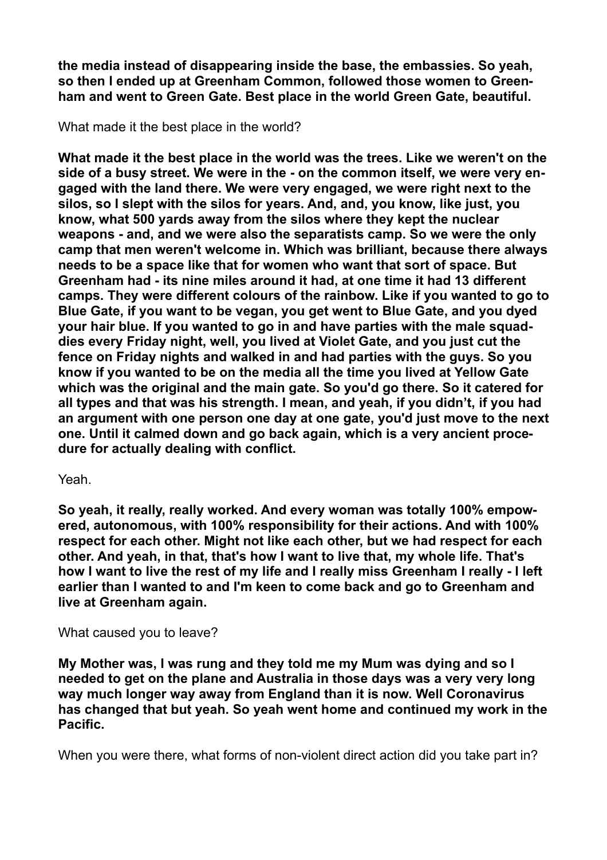**the media instead of disappearing inside the base, the embassies. So yeah, so then I ended up at Greenham Common, followed those women to Greenham and went to Green Gate. Best place in the world Green Gate, beautiful.** 

What made it the best place in the world?

**What made it the best place in the world was the trees. Like we weren't on the side of a busy street. We were in the - on the common itself, we were very engaged with the land there. We were very engaged, we were right next to the silos, so I slept with the silos for years. And, and, you know, like just, you know, what 500 yards away from the silos where they kept the nuclear weapons - and, and we were also the separatists camp. So we were the only camp that men weren't welcome in. Which was brilliant, because there always needs to be a space like that for women who want that sort of space. But Greenham had - its nine miles around it had, at one time it had 13 different camps. They were different colours of the rainbow. Like if you wanted to go to Blue Gate, if you want to be vegan, you get went to Blue Gate, and you dyed your hair blue. If you wanted to go in and have parties with the male squaddies every Friday night, well, you lived at Violet Gate, and you just cut the fence on Friday nights and walked in and had parties with the guys. So you know if you wanted to be on the media all the time you lived at Yellow Gate which was the original and the main gate. So you'd go there. So it catered for all types and that was his strength. I mean, and yeah, if you didn't, if you had an argument with one person one day at one gate, you'd just move to the next one. Until it calmed down and go back again, which is a very ancient procedure for actually dealing with conflict.** 

# Yeah.

**So yeah, it really, really worked. And every woman was totally 100% empowered, autonomous, with 100% responsibility for their actions. And with 100% respect for each other. Might not like each other, but we had respect for each other. And yeah, in that, that's how I want to live that, my whole life. That's how I want to live the rest of my life and I really miss Greenham I really - I left earlier than I wanted to and I'm keen to come back and go to Greenham and live at Greenham again.** 

## What caused you to leave?

**My Mother was, I was rung and they told me my Mum was dying and so I needed to get on the plane and Australia in those days was a very very long way much longer way away from England than it is now. Well Coronavirus has changed that but yeah. So yeah went home and continued my work in the Pacific.** 

When you were there, what forms of non-violent direct action did you take part in?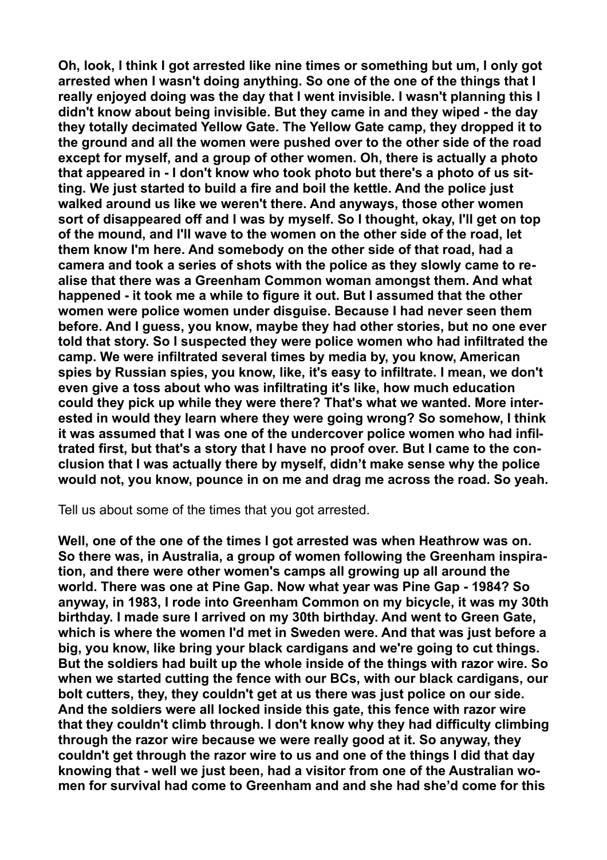**Oh, look, I think I got arrested like nine times or something but um, I only got arrested when I wasn't doing anything. So one of the one of the things that I really enjoyed doing was the day that I went invisible. I wasn't planning this I didn't know about being invisible. But they came in and they wiped - the day they totally decimated Yellow Gate. The Yellow Gate camp, they dropped it to the ground and all the women were pushed over to the other side of the road except for myself, and a group of other women. Oh, there is actually a photo that appeared in - I don't know who took photo but there's a photo of us sitting. We just started to build a fire and boil the kettle. And the police just walked around us like we weren't there. And anyways, those other women sort of disappeared off and I was by myself. So I thought, okay, I'll get on top of the mound, and I'll wave to the women on the other side of the road, let them know I'm here. And somebody on the other side of that road, had a camera and took a series of shots with the police as they slowly came to realise that there was a Greenham Common woman amongst them. And what happened - it took me a while to figure it out. But I assumed that the other women were police women under disguise. Because I had never seen them before. And I guess, you know, maybe they had other stories, but no one ever told that story. So I suspected they were police women who had infiltrated the camp. We were infiltrated several times by media by, you know, American spies by Russian spies, you know, like, it's easy to infiltrate. I mean, we don't even give a toss about who was infiltrating it's like, how much education could they pick up while they were there? That's what we wanted. More interested in would they learn where they were going wrong? So somehow, I think it was assumed that I was one of the undercover police women who had infiltrated first, but that's a story that I have no proof over. But I came to the conclusion that I was actually there by myself, didn't make sense why the police would not, you know, pounce in on me and drag me across the road. So yeah.** 

Tell us about some of the times that you got arrested.

**Well, one of the one of the times I got arrested was when Heathrow was on. So there was, in Australia, a group of women following the Greenham inspiration, and there were other women's camps all growing up all around the world. There was one at Pine Gap. Now what year was Pine Gap - 1984? So anyway, in 1983, I rode into Greenham Common on my bicycle, it was my 30th birthday. I made sure I arrived on my 30th birthday. And went to Green Gate, which is where the women I'd met in Sweden were. And that was just before a big, you know, like bring your black cardigans and we're going to cut things. But the soldiers had built up the whole inside of the things with razor wire. So when we started cutting the fence with our BCs, with our black cardigans, our bolt cutters, they, they couldn't get at us there was just police on our side. And the soldiers were all locked inside this gate, this fence with razor wire that they couldn't climb through. I don't know why they had difficulty climbing through the razor wire because we were really good at it. So anyway, they couldn't get through the razor wire to us and one of the things I did that day knowing that - well we just been, had a visitor from one of the Australian women for survival had come to Greenham and and she had she'd come for this**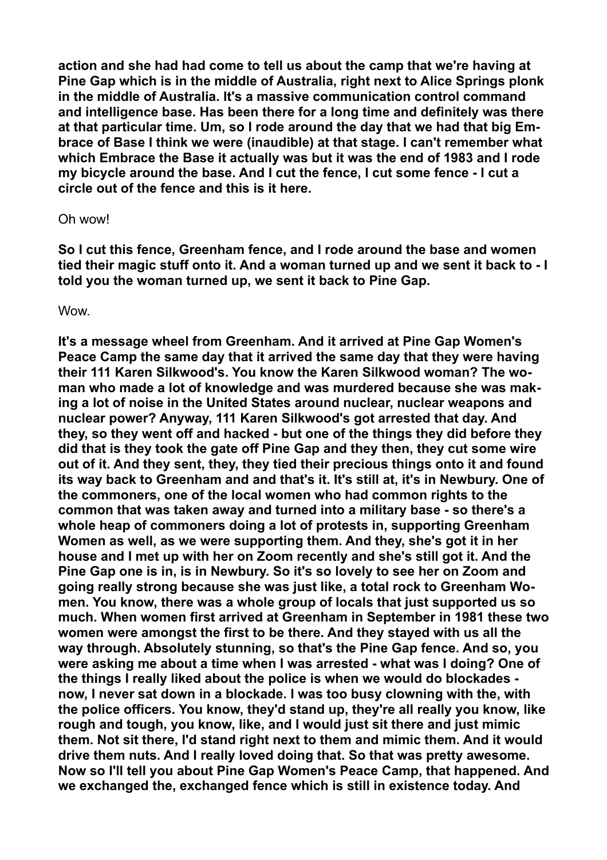**action and she had had come to tell us about the camp that we're having at Pine Gap which is in the middle of Australia, right next to Alice Springs plonk in the middle of Australia. It's a massive communication control command and intelligence base. Has been there for a long time and definitely was there at that particular time. Um, so I rode around the day that we had that big Embrace of Base I think we were (inaudible) at that stage. I can't remember what which Embrace the Base it actually was but it was the end of 1983 and I rode my bicycle around the base. And I cut the fence, I cut some fence - I cut a circle out of the fence and this is it here.** 

### Oh wow!

**So I cut this fence, Greenham fence, and I rode around the base and women tied their magic stuff onto it. And a woman turned up and we sent it back to - I told you the woman turned up, we sent it back to Pine Gap.** 

**Wow.** 

**It's a message wheel from Greenham. And it arrived at Pine Gap Women's Peace Camp the same day that it arrived the same day that they were having their 111 Karen Silkwood's. You know the Karen Silkwood woman? The woman who made a lot of knowledge and was murdered because she was making a lot of noise in the United States around nuclear, nuclear weapons and nuclear power? Anyway, 111 Karen Silkwood's got arrested that day. And they, so they went off and hacked - but one of the things they did before they did that is they took the gate off Pine Gap and they then, they cut some wire out of it. And they sent, they, they tied their precious things onto it and found its way back to Greenham and and that's it. It's still at, it's in Newbury. One of the commoners, one of the local women who had common rights to the common that was taken away and turned into a military base - so there's a whole heap of commoners doing a lot of protests in, supporting Greenham Women as well, as we were supporting them. And they, she's got it in her house and I met up with her on Zoom recently and she's still got it. And the Pine Gap one is in, is in Newbury. So it's so lovely to see her on Zoom and going really strong because she was just like, a total rock to Greenham Women. You know, there was a whole group of locals that just supported us so much. When women first arrived at Greenham in September in 1981 these two women were amongst the first to be there. And they stayed with us all the way through. Absolutely stunning, so that's the Pine Gap fence. And so, you were asking me about a time when I was arrested - what was I doing? One of the things I really liked about the police is when we would do blockades now, I never sat down in a blockade. I was too busy clowning with the, with the police officers. You know, they'd stand up, they're all really you know, like rough and tough, you know, like, and I would just sit there and just mimic them. Not sit there, I'd stand right next to them and mimic them. And it would drive them nuts. And I really loved doing that. So that was pretty awesome. Now so I'll tell you about Pine Gap Women's Peace Camp, that happened. And we exchanged the, exchanged fence which is still in existence today. And**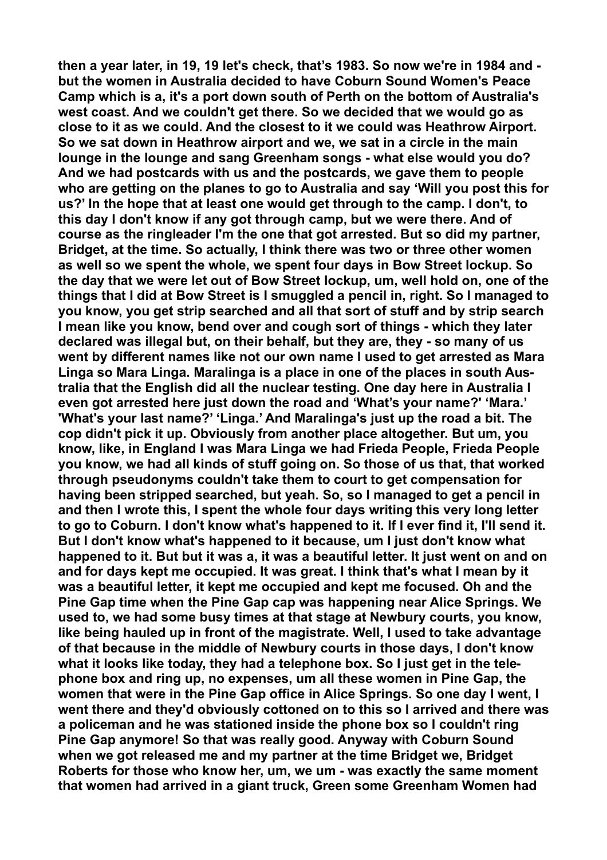**then a year later, in 19, 19 let's check, that's 1983. So now we're in 1984 and but the women in Australia decided to have Coburn Sound Women's Peace Camp which is a, it's a port down south of Perth on the bottom of Australia's west coast. And we couldn't get there. So we decided that we would go as close to it as we could. And the closest to it we could was Heathrow Airport. So we sat down in Heathrow airport and we, we sat in a circle in the main lounge in the lounge and sang Greenham songs - what else would you do? And we had postcards with us and the postcards, we gave them to people who are getting on the planes to go to Australia and say 'Will you post this for us?' In the hope that at least one would get through to the camp. I don't, to this day I don't know if any got through camp, but we were there. And of course as the ringleader I'm the one that got arrested. But so did my partner, Bridget, at the time. So actually, I think there was two or three other women as well so we spent the whole, we spent four days in Bow Street lockup. So the day that we were let out of Bow Street lockup, um, well hold on, one of the things that I did at Bow Street is I smuggled a pencil in, right. So I managed to you know, you get strip searched and all that sort of stuff and by strip search I mean like you know, bend over and cough sort of things - which they later declared was illegal but, on their behalf, but they are, they - so many of us went by different names like not our own name I used to get arrested as Mara Linga so Mara Linga. Maralinga is a place in one of the places in south Australia that the English did all the nuclear testing. One day here in Australia I even got arrested here just down the road and 'What's your name?' 'Mara.' 'What's your last name?' 'Linga.' And Maralinga's just up the road a bit. The cop didn't pick it up. Obviously from another place altogether. But um, you know, like, in England I was Mara Linga we had Frieda People, Frieda People you know, we had all kinds of stuff going on. So those of us that, that worked through pseudonyms couldn't take them to court to get compensation for having been stripped searched, but yeah. So, so I managed to get a pencil in and then I wrote this, I spent the whole four days writing this very long letter to go to Coburn. I don't know what's happened to it. If I ever find it, I'll send it. But I don't know what's happened to it because, um I just don't know what happened to it. But but it was a, it was a beautiful letter. It just went on and on and for days kept me occupied. It was great. I think that's what I mean by it was a beautiful letter, it kept me occupied and kept me focused. Oh and the Pine Gap time when the Pine Gap cap was happening near Alice Springs. We used to, we had some busy times at that stage at Newbury courts, you know, like being hauled up in front of the magistrate. Well, I used to take advantage of that because in the middle of Newbury courts in those days, I don't know what it looks like today, they had a telephone box. So I just get in the telephone box and ring up, no expenses, um all these women in Pine Gap, the women that were in the Pine Gap office in Alice Springs. So one day I went, I went there and they'd obviously cottoned on to this so I arrived and there was a policeman and he was stationed inside the phone box so I couldn't ring Pine Gap anymore! So that was really good. Anyway with Coburn Sound when we got released me and my partner at the time Bridget we, Bridget Roberts for those who know her, um, we um - was exactly the same moment that women had arrived in a giant truck, Green some Greenham Women had**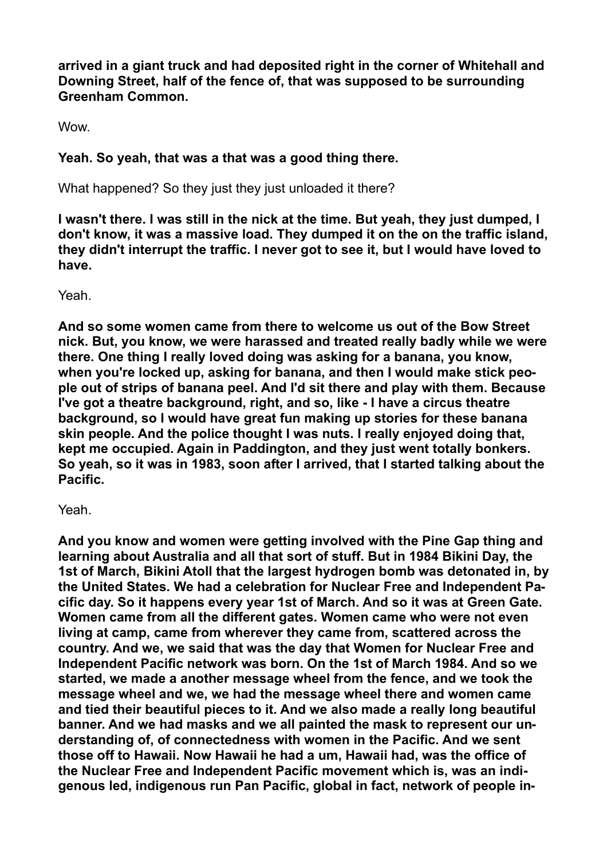**arrived in a giant truck and had deposited right in the corner of Whitehall and Downing Street, half of the fence of, that was supposed to be surrounding Greenham Common.** 

**Wow.** 

# **Yeah. So yeah, that was a that was a good thing there.**

What happened? So they just they just unloaded it there?

**I wasn't there. I was still in the nick at the time. But yeah, they just dumped, I don't know, it was a massive load. They dumped it on the on the traffic island, they didn't interrupt the traffic. I never got to see it, but I would have loved to have.** 

Yeah.

**And so some women came from there to welcome us out of the Bow Street nick. But, you know, we were harassed and treated really badly while we were there. One thing I really loved doing was asking for a banana, you know, when you're locked up, asking for banana, and then I would make stick people out of strips of banana peel. And I'd sit there and play with them. Because I've got a theatre background, right, and so, like - I have a circus theatre background, so I would have great fun making up stories for these banana skin people. And the police thought I was nuts. I really enjoyed doing that, kept me occupied. Again in Paddington, and they just went totally bonkers. So yeah, so it was in 1983, soon after I arrived, that I started talking about the Pacific.** 

Yeah.

**And you know and women were getting involved with the Pine Gap thing and learning about Australia and all that sort of stuff. But in 1984 Bikini Day, the 1st of March, Bikini Atoll that the largest hydrogen bomb was detonated in, by the United States. We had a celebration for Nuclear Free and Independent Pacific day. So it happens every year 1st of March. And so it was at Green Gate. Women came from all the different gates. Women came who were not even living at camp, came from wherever they came from, scattered across the country. And we, we said that was the day that Women for Nuclear Free and Independent Pacific network was born. On the 1st of March 1984. And so we started, we made a another message wheel from the fence, and we took the message wheel and we, we had the message wheel there and women came and tied their beautiful pieces to it. And we also made a really long beautiful banner. And we had masks and we all painted the mask to represent our understanding of, of connectedness with women in the Pacific. And we sent those off to Hawaii. Now Hawaii he had a um, Hawaii had, was the office of the Nuclear Free and Independent Pacific movement which is, was an indigenous led, indigenous run Pan Pacific, global in fact, network of people in-**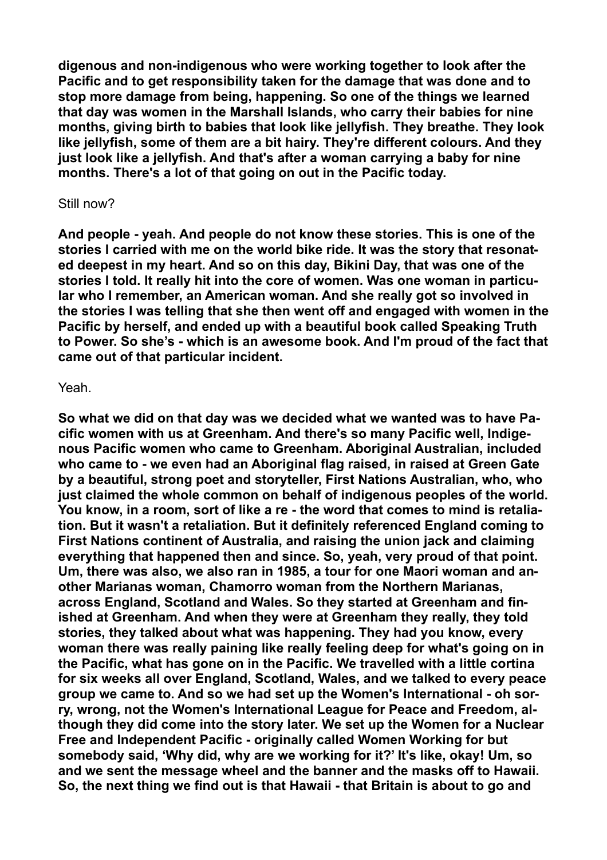**digenous and non-indigenous who were working together to look after the Pacific and to get responsibility taken for the damage that was done and to stop more damage from being, happening. So one of the things we learned that day was women in the Marshall Islands, who carry their babies for nine months, giving birth to babies that look like jellyfish. They breathe. They look like jellyfish, some of them are a bit hairy. They're different colours. And they just look like a jellyfish. And that's after a woman carrying a baby for nine months. There's a lot of that going on out in the Pacific today.** 

#### Still now?

**And people - yeah. And people do not know these stories. This is one of the stories I carried with me on the world bike ride. It was the story that resonated deepest in my heart. And so on this day, Bikini Day, that was one of the stories I told. It really hit into the core of women. Was one woman in particular who I remember, an American woman. And she really got so involved in the stories I was telling that she then went off and engaged with women in the Pacific by herself, and ended up with a beautiful book called Speaking Truth to Power. So she's - which is an awesome book. And I'm proud of the fact that came out of that particular incident.** 

#### Yeah.

**So what we did on that day was we decided what we wanted was to have Pacific women with us at Greenham. And there's so many Pacific well, Indigenous Pacific women who came to Greenham. Aboriginal Australian, included who came to - we even had an Aboriginal flag raised, in raised at Green Gate by a beautiful, strong poet and storyteller, First Nations Australian, who, who just claimed the whole common on behalf of indigenous peoples of the world. You know, in a room, sort of like a re - the word that comes to mind is retaliation. But it wasn't a retaliation. But it definitely referenced England coming to First Nations continent of Australia, and raising the union jack and claiming everything that happened then and since. So, yeah, very proud of that point. Um, there was also, we also ran in 1985, a tour for one Maori woman and another Marianas woman, Chamorro woman from the Northern Marianas, across England, Scotland and Wales. So they started at Greenham and finished at Greenham. And when they were at Greenham they really, they told stories, they talked about what was happening. They had you know, every woman there was really paining like really feeling deep for what's going on in the Pacific, what has gone on in the Pacific. We travelled with a little cortina for six weeks all over England, Scotland, Wales, and we talked to every peace group we came to. And so we had set up the Women's International - oh sorry, wrong, not the Women's International League for Peace and Freedom, although they did come into the story later. We set up the Women for a Nuclear Free and Independent Pacific - originally called Women Working for but somebody said, 'Why did, why are we working for it?' It's like, okay! Um, so and we sent the message wheel and the banner and the masks off to Hawaii. So, the next thing we find out is that Hawaii - that Britain is about to go and**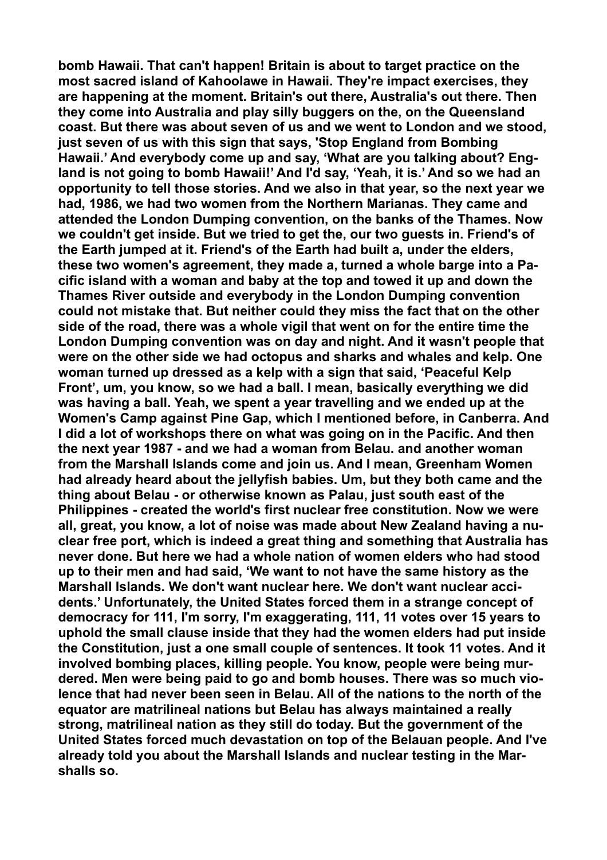**bomb Hawaii. That can't happen! Britain is about to target practice on the most sacred island of Kahoolawe in Hawaii. They're impact exercises, they are happening at the moment. Britain's out there, Australia's out there. Then they come into Australia and play silly buggers on the, on the Queensland coast. But there was about seven of us and we went to London and we stood, just seven of us with this sign that says, 'Stop England from Bombing Hawaii.' And everybody come up and say, 'What are you talking about? England is not going to bomb Hawaii!' And I'd say, 'Yeah, it is.' And so we had an opportunity to tell those stories. And we also in that year, so the next year we had, 1986, we had two women from the Northern Marianas. They came and attended the London Dumping convention, on the banks of the Thames. Now we couldn't get inside. But we tried to get the, our two guests in. Friend's of the Earth jumped at it. Friend's of the Earth had built a, under the elders, these two women's agreement, they made a, turned a whole barge into a Pacific island with a woman and baby at the top and towed it up and down the Thames River outside and everybody in the London Dumping convention could not mistake that. But neither could they miss the fact that on the other side of the road, there was a whole vigil that went on for the entire time the London Dumping convention was on day and night. And it wasn't people that were on the other side we had octopus and sharks and whales and kelp. One woman turned up dressed as a kelp with a sign that said, 'Peaceful Kelp Front', um, you know, so we had a ball. I mean, basically everything we did was having a ball. Yeah, we spent a year travelling and we ended up at the Women's Camp against Pine Gap, which I mentioned before, in Canberra. And I did a lot of workshops there on what was going on in the Pacific. And then the next year 1987 - and we had a woman from Belau. and another woman from the Marshall Islands come and join us. And I mean, Greenham Women had already heard about the jellyfish babies. Um, but they both came and the thing about Belau - or otherwise known as Palau, just south east of the Philippines - created the world's first nuclear free constitution. Now we were all, great, you know, a lot of noise was made about New Zealand having a nuclear free port, which is indeed a great thing and something that Australia has never done. But here we had a whole nation of women elders who had stood up to their men and had said, 'We want to not have the same history as the Marshall Islands. We don't want nuclear here. We don't want nuclear accidents.' Unfortunately, the United States forced them in a strange concept of democracy for 111, I'm sorry, I'm exaggerating, 111, 11 votes over 15 years to uphold the small clause inside that they had the women elders had put inside the Constitution, just a one small couple of sentences. It took 11 votes. And it involved bombing places, killing people. You know, people were being murdered. Men were being paid to go and bomb houses. There was so much violence that had never been seen in Belau. All of the nations to the north of the equator are matrilineal nations but Belau has always maintained a really strong, matrilineal nation as they still do today. But the government of the United States forced much devastation on top of the Belauan people. And I've already told you about the Marshall Islands and nuclear testing in the Marshalls so.**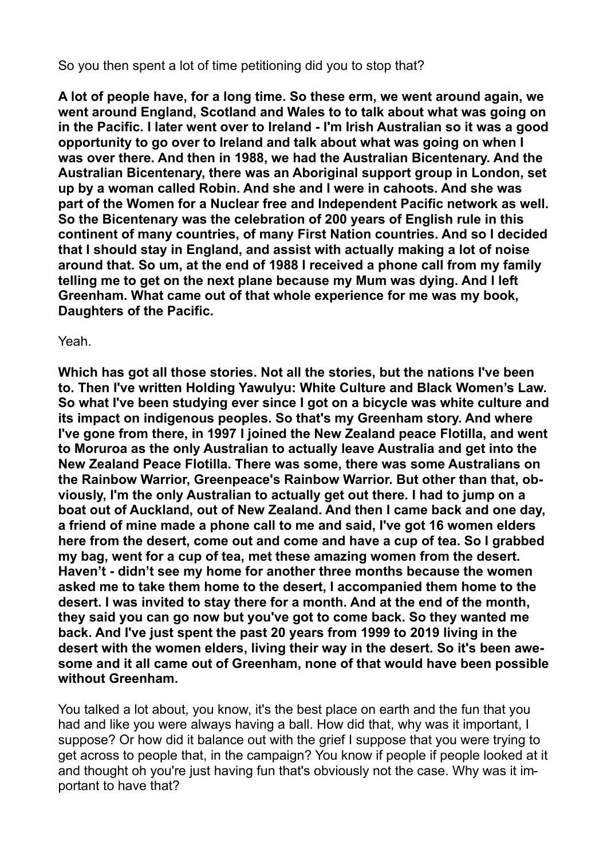So you then spent a lot of time petitioning did you to stop that?

**A lot of people have, for a long time. So these erm, we went around again, we went around England, Scotland and Wales to to talk about what was going on in the Pacific. I later went over to Ireland - I'm Irish Australian so it was a good opportunity to go over to Ireland and talk about what was going on when I was over there. And then in 1988, we had the Australian Bicentenary. And the Australian Bicentenary, there was an Aboriginal support group in London, set up by a woman called Robin. And she and I were in cahoots. And she was part of the Women for a Nuclear free and Independent Pacific network as well. So the Bicentenary was the celebration of 200 years of English rule in this continent of many countries, of many First Nation countries. And so I decided that I should stay in England, and assist with actually making a lot of noise around that. So um, at the end of 1988 I received a phone call from my family telling me to get on the next plane because my Mum was dying. And I left Greenham. What came out of that whole experience for me was my book, Daughters of the Pacific.** 

### Yeah.

**Which has got all those stories. Not all the stories, but the nations I've been to. Then I've written Holding Yawulyu: White Culture and Black Women's Law. So what I've been studying ever since I got on a bicycle was white culture and its impact on indigenous peoples. So that's my Greenham story. And where I've gone from there, in 1997 I joined the New Zealand peace Flotilla, and went to Moruroa as the only Australian to actually leave Australia and get into the New Zealand Peace Flotilla. There was some, there was some Australians on the Rainbow Warrior, Greenpeace's Rainbow Warrior. But other than that, obviously, I'm the only Australian to actually get out there. I had to jump on a boat out of Auckland, out of New Zealand. And then I came back and one day, a friend of mine made a phone call to me and said, I've got 16 women elders here from the desert, come out and come and have a cup of tea. So I grabbed my bag, went for a cup of tea, met these amazing women from the desert. Haven't - didn't see my home for another three months because the women asked me to take them home to the desert, I accompanied them home to the desert. I was invited to stay there for a month. And at the end of the month, they said you can go now but you've got to come back. So they wanted me back. And I've just spent the past 20 years from 1999 to 2019 living in the desert with the women elders, living their way in the desert. So it's been awesome and it all came out of Greenham, none of that would have been possible without Greenham.** 

You talked a lot about, you know, it's the best place on earth and the fun that you had and like you were always having a ball. How did that, why was it important, I suppose? Or how did it balance out with the grief I suppose that you were trying to get across to people that, in the campaign? You know if people if people looked at it and thought oh you're just having fun that's obviously not the case. Why was it important to have that?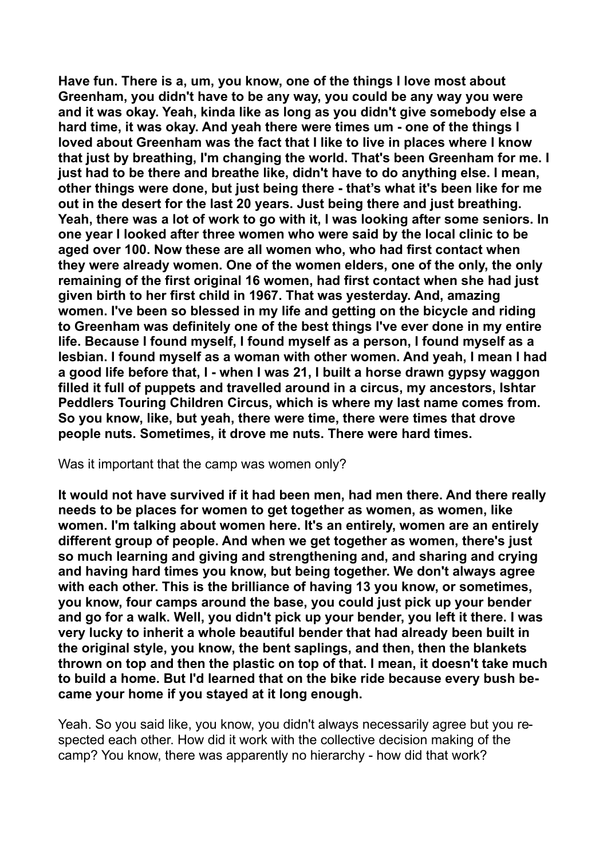**Have fun. There is a, um, you know, one of the things I love most about Greenham, you didn't have to be any way, you could be any way you were and it was okay. Yeah, kinda like as long as you didn't give somebody else a hard time, it was okay. And yeah there were times um - one of the things I loved about Greenham was the fact that I like to live in places where I know that just by breathing, I'm changing the world. That's been Greenham for me. I just had to be there and breathe like, didn't have to do anything else. I mean, other things were done, but just being there - that's what it's been like for me out in the desert for the last 20 years. Just being there and just breathing. Yeah, there was a lot of work to go with it, I was looking after some seniors. In one year I looked after three women who were said by the local clinic to be aged over 100. Now these are all women who, who had first contact when they were already women. One of the women elders, one of the only, the only remaining of the first original 16 women, had first contact when she had just given birth to her first child in 1967. That was yesterday. And, amazing women. I've been so blessed in my life and getting on the bicycle and riding to Greenham was definitely one of the best things I've ever done in my entire life. Because I found myself, I found myself as a person, I found myself as a lesbian. I found myself as a woman with other women. And yeah, I mean I had a good life before that, I - when I was 21, I built a horse drawn gypsy waggon filled it full of puppets and travelled around in a circus, my ancestors, Ishtar Peddlers Touring Children Circus, which is where my last name comes from. So you know, like, but yeah, there were time, there were times that drove people nuts. Sometimes, it drove me nuts. There were hard times.** 

Was it important that the camp was women only?

**It would not have survived if it had been men, had men there. And there really needs to be places for women to get together as women, as women, like women. I'm talking about women here. It's an entirely, women are an entirely different group of people. And when we get together as women, there's just so much learning and giving and strengthening and, and sharing and crying and having hard times you know, but being together. We don't always agree with each other. This is the brilliance of having 13 you know, or sometimes, you know, four camps around the base, you could just pick up your bender and go for a walk. Well, you didn't pick up your bender, you left it there. I was very lucky to inherit a whole beautiful bender that had already been built in the original style, you know, the bent saplings, and then, then the blankets thrown on top and then the plastic on top of that. I mean, it doesn't take much to build a home. But I'd learned that on the bike ride because every bush became your home if you stayed at it long enough.** 

Yeah. So you said like, you know, you didn't always necessarily agree but you respected each other. How did it work with the collective decision making of the camp? You know, there was apparently no hierarchy - how did that work?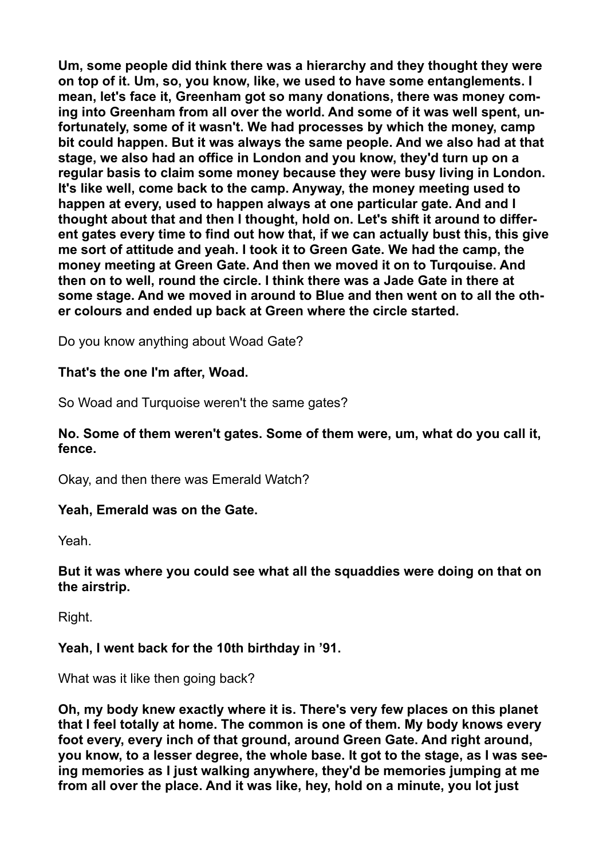**Um, some people did think there was a hierarchy and they thought they were on top of it. Um, so, you know, like, we used to have some entanglements. I mean, let's face it, Greenham got so many donations, there was money coming into Greenham from all over the world. And some of it was well spent, unfortunately, some of it wasn't. We had processes by which the money, camp bit could happen. But it was always the same people. And we also had at that stage, we also had an office in London and you know, they'd turn up on a regular basis to claim some money because they were busy living in London. It's like well, come back to the camp. Anyway, the money meeting used to happen at every, used to happen always at one particular gate. And and I thought about that and then I thought, hold on. Let's shift it around to different gates every time to find out how that, if we can actually bust this, this give me sort of attitude and yeah. I took it to Green Gate. We had the camp, the money meeting at Green Gate. And then we moved it on to Turqouise. And then on to well, round the circle. I think there was a Jade Gate in there at some stage. And we moved in around to Blue and then went on to all the other colours and ended up back at Green where the circle started.** 

Do you know anything about Woad Gate?

# **That's the one I'm after, Woad.**

So Woad and Turquoise weren't the same gates?

## **No. Some of them weren't gates. Some of them were, um, what do you call it, fence.**

Okay, and then there was Emerald Watch?

# **Yeah, Emerald was on the Gate.**

Yeah.

## **But it was where you could see what all the squaddies were doing on that on the airstrip.**

Right.

# **Yeah, I went back for the 10th birthday in '91.**

What was it like then going back?

**Oh, my body knew exactly where it is. There's very few places on this planet that I feel totally at home. The common is one of them. My body knows every foot every, every inch of that ground, around Green Gate. And right around, you know, to a lesser degree, the whole base. It got to the stage, as I was seeing memories as I just walking anywhere, they'd be memories jumping at me from all over the place. And it was like, hey, hold on a minute, you lot just**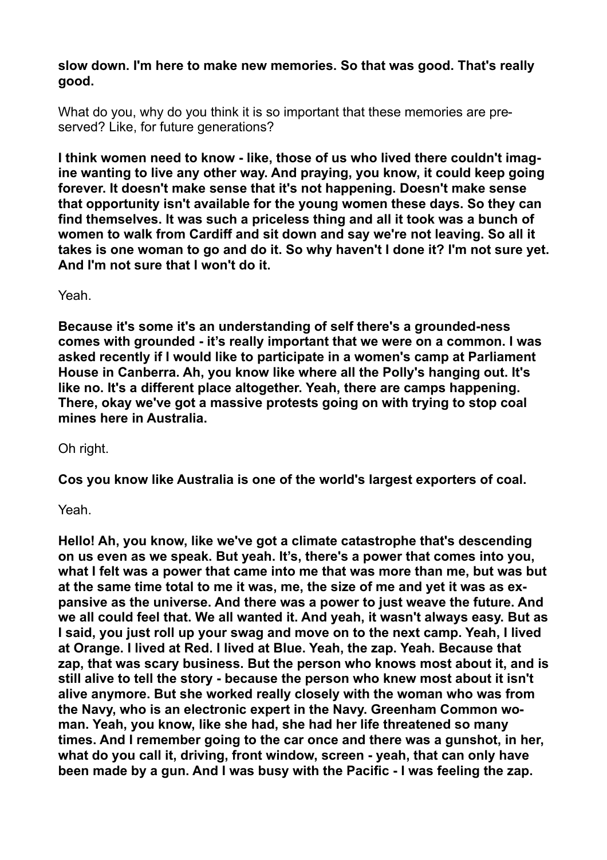**slow down. I'm here to make new memories. So that was good. That's really good.** 

What do you, why do you think it is so important that these memories are preserved? Like, for future generations?

**I think women need to know - like, those of us who lived there couldn't imagine wanting to live any other way. And praying, you know, it could keep going forever. It doesn't make sense that it's not happening. Doesn't make sense that opportunity isn't available for the young women these days. So they can find themselves. It was such a priceless thing and all it took was a bunch of women to walk from Cardiff and sit down and say we're not leaving. So all it takes is one woman to go and do it. So why haven't I done it? I'm not sure yet. And I'm not sure that I won't do it.** 

Yeah.

**Because it's some it's an understanding of self there's a grounded-ness comes with grounded - it's really important that we were on a common. I was asked recently if I would like to participate in a women's camp at Parliament House in Canberra. Ah, you know like where all the Polly's hanging out. It's like no. It's a different place altogether. Yeah, there are camps happening. There, okay we've got a massive protests going on with trying to stop coal mines here in Australia.** 

Oh right.

**Cos you know like Australia is one of the world's largest exporters of coal.** 

Yeah.

**Hello! Ah, you know, like we've got a climate catastrophe that's descending on us even as we speak. But yeah. It's, there's a power that comes into you, what I felt was a power that came into me that was more than me, but was but at the same time total to me it was, me, the size of me and yet it was as expansive as the universe. And there was a power to just weave the future. And we all could feel that. We all wanted it. And yeah, it wasn't always easy. But as I said, you just roll up your swag and move on to the next camp. Yeah, I lived at Orange. I lived at Red. I lived at Blue. Yeah, the zap. Yeah. Because that zap, that was scary business. But the person who knows most about it, and is still alive to tell the story - because the person who knew most about it isn't alive anymore. But she worked really closely with the woman who was from the Navy, who is an electronic expert in the Navy. Greenham Common woman. Yeah, you know, like she had, she had her life threatened so many times. And I remember going to the car once and there was a gunshot, in her, what do you call it, driving, front window, screen - yeah, that can only have been made by a gun. And I was busy with the Pacific - I was feeling the zap.**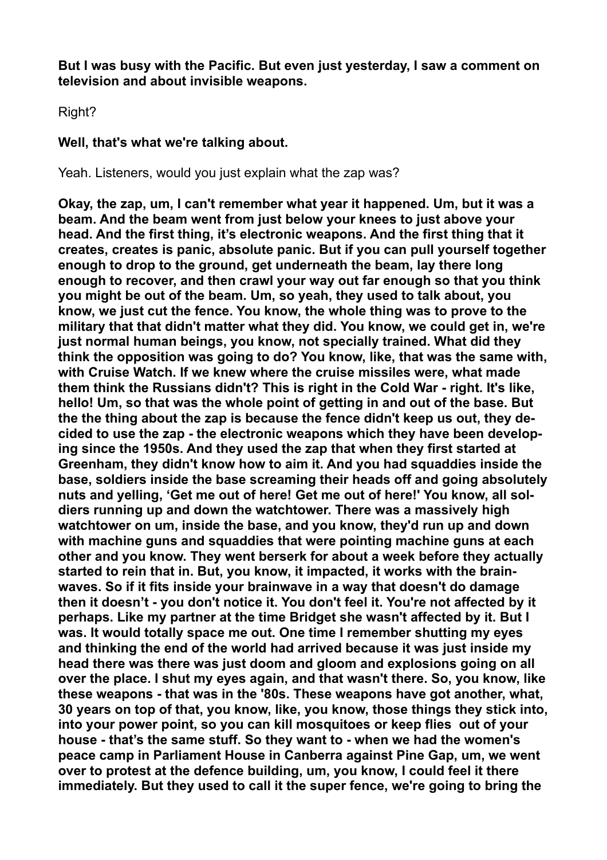**But I was busy with the Pacific. But even just yesterday, I saw a comment on television and about invisible weapons.** 

Right?

# **Well, that's what we're talking about.**

Yeah. Listeners, would you just explain what the zap was?

**Okay, the zap, um, I can't remember what year it happened. Um, but it was a beam. And the beam went from just below your knees to just above your head. And the first thing, it's electronic weapons. And the first thing that it creates, creates is panic, absolute panic. But if you can pull yourself together enough to drop to the ground, get underneath the beam, lay there long enough to recover, and then crawl your way out far enough so that you think you might be out of the beam. Um, so yeah, they used to talk about, you know, we just cut the fence. You know, the whole thing was to prove to the military that that didn't matter what they did. You know, we could get in, we're just normal human beings, you know, not specially trained. What did they think the opposition was going to do? You know, like, that was the same with, with Cruise Watch. If we knew where the cruise missiles were, what made them think the Russians didn't? This is right in the Cold War - right. It's like, hello! Um, so that was the whole point of getting in and out of the base. But the the thing about the zap is because the fence didn't keep us out, they decided to use the zap - the electronic weapons which they have been developing since the 1950s. And they used the zap that when they first started at Greenham, they didn't know how to aim it. And you had squaddies inside the base, soldiers inside the base screaming their heads off and going absolutely nuts and yelling, 'Get me out of here! Get me out of here!' You know, all soldiers running up and down the watchtower. There was a massively high watchtower on um, inside the base, and you know, they'd run up and down with machine guns and squaddies that were pointing machine guns at each other and you know. They went berserk for about a week before they actually started to rein that in. But, you know, it impacted, it works with the brainwaves. So if it fits inside your brainwave in a way that doesn't do damage then it doesn't - you don't notice it. You don't feel it. You're not affected by it perhaps. Like my partner at the time Bridget she wasn't affected by it. But I was. It would totally space me out. One time I remember shutting my eyes and thinking the end of the world had arrived because it was just inside my head there was there was just doom and gloom and explosions going on all over the place. I shut my eyes again, and that wasn't there. So, you know, like these weapons - that was in the '80s. These weapons have got another, what, 30 years on top of that, you know, like, you know, those things they stick into, into your power point, so you can kill mosquitoes or keep flies out of your house - that's the same stuff. So they want to - when we had the women's peace camp in Parliament House in Canberra against Pine Gap, um, we went over to protest at the defence building, um, you know, I could feel it there immediately. But they used to call it the super fence, we're going to bring the**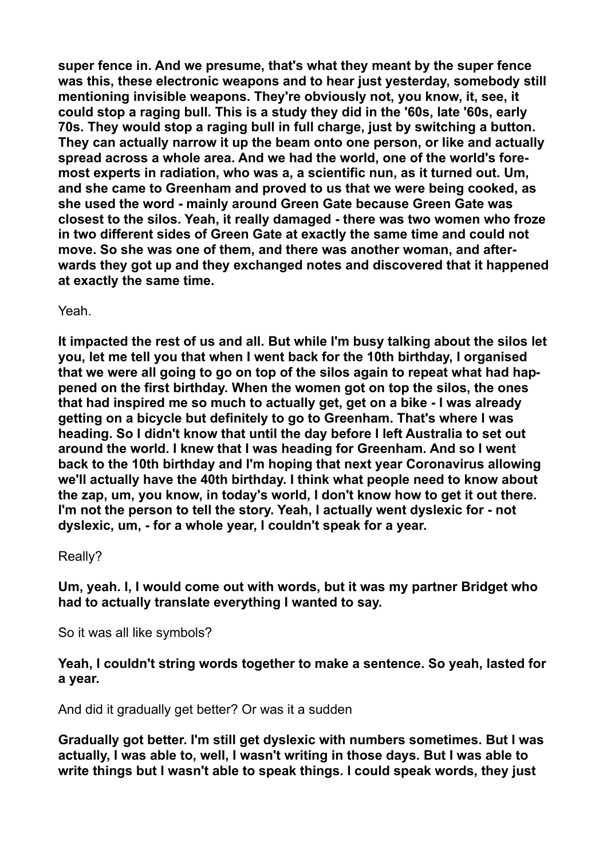**super fence in. And we presume, that's what they meant by the super fence was this, these electronic weapons and to hear just yesterday, somebody still mentioning invisible weapons. They're obviously not, you know, it, see, it could stop a raging bull. This is a study they did in the '60s, late '60s, early 70s. They would stop a raging bull in full charge, just by switching a button. They can actually narrow it up the beam onto one person, or like and actually spread across a whole area. And we had the world, one of the world's foremost experts in radiation, who was a, a scientific nun, as it turned out. Um, and she came to Greenham and proved to us that we were being cooked, as she used the word - mainly around Green Gate because Green Gate was closest to the silos. Yeah, it really damaged - there was two women who froze in two different sides of Green Gate at exactly the same time and could not move. So she was one of them, and there was another woman, and afterwards they got up and they exchanged notes and discovered that it happened at exactly the same time.** 

Yeah.

**It impacted the rest of us and all. But while I'm busy talking about the silos let you, let me tell you that when I went back for the 10th birthday, I organised that we were all going to go on top of the silos again to repeat what had happened on the first birthday. When the women got on top the silos, the ones that had inspired me so much to actually get, get on a bike - I was already getting on a bicycle but definitely to go to Greenham. That's where I was heading. So I didn't know that until the day before I left Australia to set out around the world. I knew that I was heading for Greenham. And so I went back to the 10th birthday and I'm hoping that next year Coronavirus allowing we'll actually have the 40th birthday. I think what people need to know about the zap, um, you know, in today's world, I don't know how to get it out there. I'm not the person to tell the story. Yeah, I actually went dyslexic for - not dyslexic, um, - for a whole year, I couldn't speak for a year.** 

# Really?

**Um, yeah. I, I would come out with words, but it was my partner Bridget who had to actually translate everything I wanted to say.** 

So it was all like symbols?

**Yeah, I couldn't string words together to make a sentence. So yeah, lasted for a year.** 

And did it gradually get better? Or was it a sudden

**Gradually got better. I'm still get dyslexic with numbers sometimes. But I was actually, I was able to, well, I wasn't writing in those days. But I was able to write things but I wasn't able to speak things. I could speak words, they just**